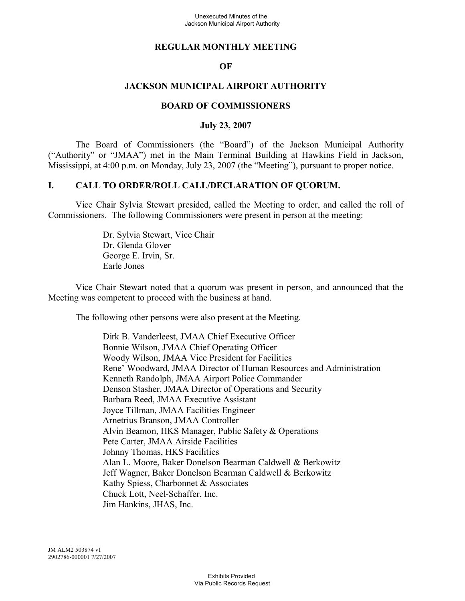## **REGULAR MONTHLY MEETING**

### **OF**

### **JACKSON MUNICIPAL AIRPORT AUTHORITY**

#### **BOARD OF COMMISSIONERS**

#### **July 23, 2007**

The Board of Commissioners (the "Board") of the Jackson Municipal Authority ("Authority" or "JMAA") met in the Main Terminal Building at Hawkins Field in Jackson, Mississippi, at 4:00 p.m. on Monday, July 23, 2007 (the "Meeting"), pursuant to proper notice.

#### **I. CALL TO ORDER/ROLL CALL/DECLARATION OF QUORUM.**

Vice Chair Sylvia Stewart presided, called the Meeting to order, and called the roll of Commissioners. The following Commissioners were present in person at the meeting:

> Dr. Sylvia Stewart, Vice Chair Dr. Glenda Glover George E. Irvin, Sr. Earle Jones

Vice Chair Stewart noted that a quorum was present in person, and announced that the Meeting was competent to proceed with the business at hand.

The following other persons were also present at the Meeting.

Dirk B. Vanderleest, JMAA Chief Executive Officer Bonnie Wilson, JMAA Chief Operating Officer Woody Wilson, JMAA Vice President for Facilities Rene' Woodward, JMAA Director of Human Resources and Administration Kenneth Randolph, JMAA Airport Police Commander Denson Stasher, JMAA Director of Operations and Security Barbara Reed, JMAA Executive Assistant Joyce Tillman, JMAA Facilities Engineer Arnetrius Branson, JMAA Controller Alvin Beamon, HKS Manager, Public Safety & Operations Pete Carter, JMAA Airside Facilities Johnny Thomas, HKS Facilities Alan L. Moore, Baker Donelson Bearman Caldwell & Berkowitz Jeff Wagner, Baker Donelson Bearman Caldwell & Berkowitz Kathy Spiess, Charbonnet & Associates Chuck Lott, Neel-Schaffer, Inc. Jim Hankins, JHAS, Inc.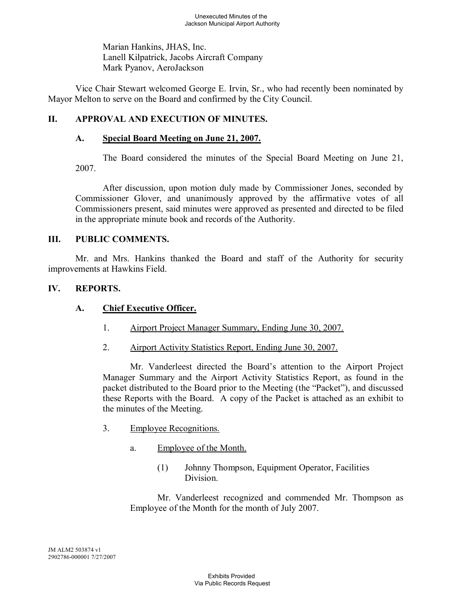Marian Hankins, JHAS, Inc. Lanell Kilpatrick, Jacobs Aircraft Company Mark Pyanov, AeroJackson

Vice Chair Stewart welcomed George E. Irvin, Sr., who had recently been nominated by Mayor Melton to serve on the Board and confirmed by the City Council.

# **II. APPROVAL AND EXECUTION OF MINUTES.**

### **A. Special Board Meeting on June 21, 2007.**

The Board considered the minutes of the Special Board Meeting on June 21, 2007.

After discussion, upon motion duly made by Commissioner Jones, seconded by Commissioner Glover, and unanimously approved by the affirmative votes of all Commissioners present, said minutes were approved as presented and directed to be filed in the appropriate minute book and records of the Authority.

### **III. PUBLIC COMMENTS.**

Mr. and Mrs. Hankins thanked the Board and staff of the Authority for security improvements at Hawkins Field.

### **IV. REPORTS.**

## **A. Chief Executive Officer.**

- 1. Airport Project Manager Summary, Ending June 30, 2007.
- 2. Airport Activity Statistics Report, Ending June 30, 2007.

Mr. Vanderleest directed the Board's attention to the Airport Project Manager Summary and the Airport Activity Statistics Report, as found in the packet distributed to the Board prior to the Meeting (the "Packet"), and discussed these Reports with the Board. A copy of the Packet is attached as an exhibit to the minutes of the Meeting.

- 3. Employee Recognitions.
	- a. Employee of the Month.
		- (1) Johnny Thompson, Equipment Operator, Facilities **Division**

Mr. Vanderleest recognized and commended Mr. Thompson as Employee of the Month for the month of July 2007.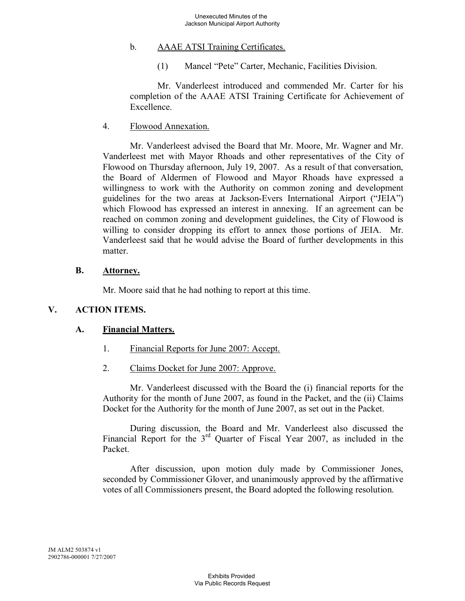# b. AAAE ATSI Training Certificates.

(1) Mancel "Pete" Carter, Mechanic, Facilities Division.

Mr. Vanderleest introduced and commended Mr. Carter for his completion of the AAAE ATSI Training Certificate for Achievement of **Excellence** 

#### 4. Flowood Annexation.

Mr. Vanderleest advised the Board that Mr. Moore, Mr. Wagner and Mr. Vanderleest met with Mayor Rhoads and other representatives of the City of Flowood on Thursday afternoon, July 19, 2007. As a result of that conversation, the Board of Aldermen of Flowood and Mayor Rhoads have expressed a willingness to work with the Authority on common zoning and development guidelines for the two areas at Jackson-Evers International Airport ("JEIA") which Flowood has expressed an interest in annexing. If an agreement can be reached on common zoning and development guidelines, the City of Flowood is willing to consider dropping its effort to annex those portions of JEIA. Mr. Vanderleest said that he would advise the Board of further developments in this matter

#### **B. Attorney.**

Mr. Moore said that he had nothing to report at this time.

## **V. ACTION ITEMS.**

## **A. Financial Matters.**

- 1. Financial Reports for June 2007: Accept.
- 2. Claims Docket for June 2007: Approve.

Mr. Vanderleest discussed with the Board the (i) financial reports for the Authority for the month of June 2007, as found in the Packet, and the (ii) Claims Docket for the Authority for the month of June 2007, as set out in the Packet.

During discussion, the Board and Mr. Vanderleest also discussed the Financial Report for the 3<sup>rd</sup> Quarter of Fiscal Year 2007, as included in the Packet.

After discussion, upon motion duly made by Commissioner Jones, seconded by Commissioner Glover, and unanimously approved by the affirmative votes of all Commissioners present, the Board adopted the following resolution.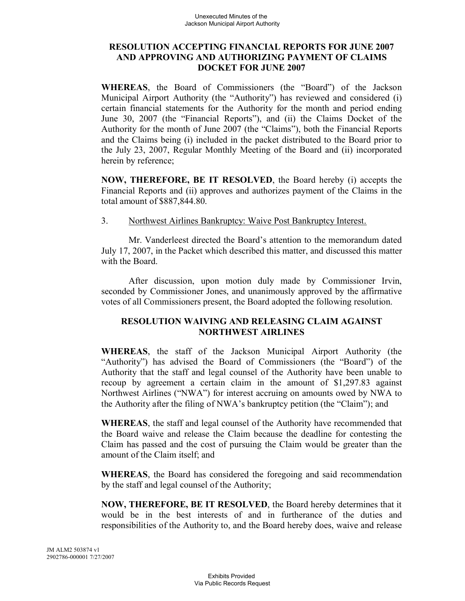### **RESOLUTION ACCEPTING FINANCIAL REPORTS FOR JUNE 2007 AND APPROVING AND AUTHORIZING PAYMENT OF CLAIMS DOCKET FOR JUNE 2007**

**WHEREAS**, the Board of Commissioners (the "Board") of the Jackson Municipal Airport Authority (the "Authority") has reviewed and considered (i) certain financial statements for the Authority for the month and period ending June 30, 2007 (the "Financial Reports"), and (ii) the Claims Docket of the Authority for the month of June 2007 (the "Claims"), both the Financial Reports and the Claims being (i) included in the packet distributed to the Board prior to the July 23, 2007, Regular Monthly Meeting of the Board and (ii) incorporated herein by reference;

**NOW, THEREFORE, BE IT RESOLVED**, the Board hereby (i) accepts the Financial Reports and (ii) approves and authorizes payment of the Claims in the total amount of \$887,844.80.

### 3. Northwest Airlines Bankruptcy: Waive Post Bankruptcy Interest.

Mr. Vanderleest directed the Board's attention to the memorandum dated July 17, 2007, in the Packet which described this matter, and discussed this matter with the Board.

After discussion, upon motion duly made by Commissioner Irvin, seconded by Commissioner Jones, and unanimously approved by the affirmative votes of all Commissioners present, the Board adopted the following resolution.

## **RESOLUTION WAIVING AND RELEASING CLAIM AGAINST NORTHWEST AIRLINES**

**WHEREAS**, the staff of the Jackson Municipal Airport Authority (the "Authority") has advised the Board of Commissioners (the "Board") of the Authority that the staff and legal counsel of the Authority have been unable to recoup by agreement a certain claim in the amount of \$1,297.83 against Northwest Airlines ("NWA") for interest accruing on amounts owed by NWA to the Authority after the filing of NWA's bankruptcy petition (the "Claim"); and

**WHEREAS**, the staff and legal counsel of the Authority have recommended that the Board waive and release the Claim because the deadline for contesting the Claim has passed and the cost of pursuing the Claim would be greater than the amount of the Claim itself; and

**WHEREAS**, the Board has considered the foregoing and said recommendation by the staff and legal counsel of the Authority;

**NOW, THEREFORE, BE IT RESOLVED**, the Board hereby determines that it would be in the best interests of and in furtherance of the duties and responsibilities of the Authority to, and the Board hereby does, waive and release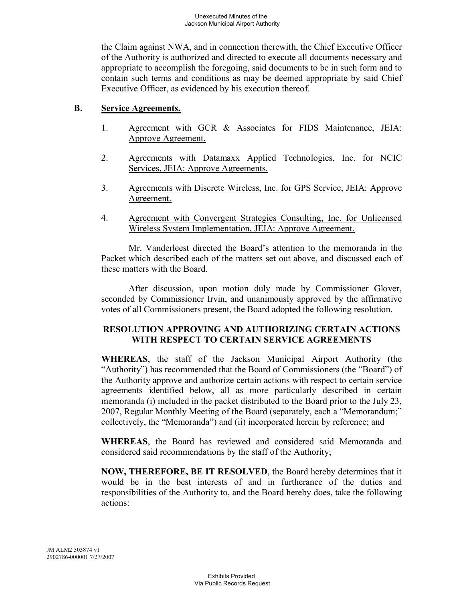the Claim against NWA, and in connection therewith, the Chief Executive Officer of the Authority is authorized and directed to execute all documents necessary and appropriate to accomplish the foregoing, said documents to be in such form and to contain such terms and conditions as may be deemed appropriate by said Chief Executive Officer, as evidenced by his execution thereof.

### **B. Service Agreements.**

- 1. Agreement with GCR & Associates for FIDS Maintenance, JEIA: Approve Agreement.
- 2. Agreements with Datamaxx Applied Technologies, Inc. for NCIC Services, JEIA: Approve Agreements.
- 3. Agreements with Discrete Wireless, Inc. for GPS Service, JEIA: Approve Agreement.
- 4. Agreement with Convergent Strategies Consulting, Inc. for Unlicensed Wireless System Implementation, JEIA: Approve Agreement.

Mr. Vanderleest directed the Board's attention to the memoranda in the Packet which described each of the matters set out above, and discussed each of these matters with the Board.

After discussion, upon motion duly made by Commissioner Glover, seconded by Commissioner Irvin, and unanimously approved by the affirmative votes of all Commissioners present, the Board adopted the following resolution.

### **RESOLUTION APPROVING AND AUTHORIZING CERTAIN ACTIONS WITH RESPECT TO CERTAIN SERVICE AGREEMENTS**

**WHEREAS**, the staff of the Jackson Municipal Airport Authority (the "Authority") has recommended that the Board of Commissioners (the "Board") of the Authority approve and authorize certain actions with respect to certain service agreements identified below, all as more particularly described in certain memoranda (i) included in the packet distributed to the Board prior to the July 23, 2007, Regular Monthly Meeting of the Board (separately, each a "Memorandum;" collectively, the "Memoranda") and (ii) incorporated herein by reference; and

**WHEREAS**, the Board has reviewed and considered said Memoranda and considered said recommendations by the staff of the Authority;

**NOW, THEREFORE, BE IT RESOLVED**, the Board hereby determines that it would be in the best interests of and in furtherance of the duties and responsibilities of the Authority to, and the Board hereby does, take the following actions: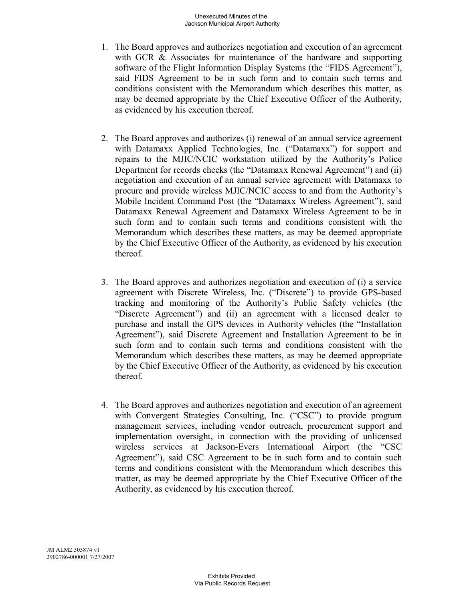- 1. The Board approves and authorizes negotiation and execution of an agreement with GCR & Associates for maintenance of the hardware and supporting software of the Flight Information Display Systems (the "FIDS Agreement"), said FIDS Agreement to be in such form and to contain such terms and conditions consistent with the Memorandum which describes this matter, as may be deemed appropriate by the Chief Executive Officer of the Authority, as evidenced by his execution thereof.
- 2. The Board approves and authorizes (i) renewal of an annual service agreement with Datamaxx Applied Technologies, Inc. ("Datamaxx") for support and repairs to the MJIC/NCIC workstation utilized by the Authority's Police Department for records checks (the "Datamaxx Renewal Agreement") and (ii) negotiation and execution of an annual service agreement with Datamaxx to procure and provide wireless MJIC/NCIC access to and from the Authority's Mobile Incident Command Post (the "Datamaxx Wireless Agreement"), said Datamaxx Renewal Agreement and Datamaxx Wireless Agreement to be in such form and to contain such terms and conditions consistent with the Memorandum which describes these matters, as may be deemed appropriate by the Chief Executive Officer of the Authority, as evidenced by his execution thereof.
- 3. The Board approves and authorizes negotiation and execution of (i) a service agreement with Discrete Wireless, Inc. ("Discrete") to provide GPS-based tracking and monitoring of the Authority's Public Safety vehicles (the "Discrete Agreement") and (ii) an agreement with a licensed dealer to purchase and install the GPS devices in Authority vehicles (the "Installation Agreement"), said Discrete Agreement and Installation Agreement to be in such form and to contain such terms and conditions consistent with the Memorandum which describes these matters, as may be deemed appropriate by the Chief Executive Officer of the Authority, as evidenced by his execution thereof.
- 4. The Board approves and authorizes negotiation and execution of an agreement with Convergent Strategies Consulting, Inc. ("CSC") to provide program management services, including vendor outreach, procurement support and implementation oversight, in connection with the providing of unlicensed wireless services at Jackson-Evers International Airport (the "CSC Agreement"), said CSC Agreement to be in such form and to contain such terms and conditions consistent with the Memorandum which describes this matter, as may be deemed appropriate by the Chief Executive Officer of the Authority, as evidenced by his execution thereof.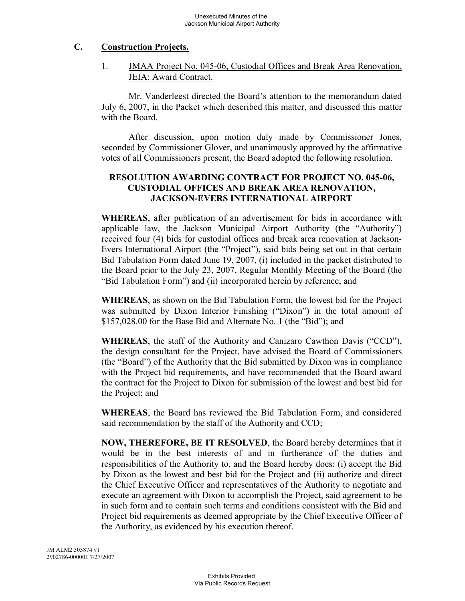## **C. Construction Projects.**

1. JMAA Project No. 045-06, Custodial Offices and Break Area Renovation, JEIA: Award Contract.

Mr. Vanderleest directed the Board's attention to the memorandum dated July 6, 2007, in the Packet which described this matter, and discussed this matter with the Board.

After discussion, upon motion duly made by Commissioner Jones, seconded by Commissioner Glover, and unanimously approved by the affirmative votes of all Commissioners present, the Board adopted the following resolution.

## **RESOLUTION AWARDING CONTRACT FOR PROJECT NO. 045-06, CUSTODIAL OFFICES AND BREAK AREA RENOVATION, JACKSON-EVERS INTERNATIONAL AIRPORT**

**WHEREAS**, after publication of an advertisement for bids in accordance with applicable law, the Jackson Municipal Airport Authority (the "Authority") received four (4) bids for custodial offices and break area renovation at Jackson-Evers International Airport (the "Project"), said bids being set out in that certain Bid Tabulation Form dated June 19, 2007, (i) included in the packet distributed to the Board prior to the July 23, 2007, Regular Monthly Meeting of the Board (the "Bid Tabulation Form") and (ii) incorporated herein by reference; and

**WHEREAS**, as shown on the Bid Tabulation Form, the lowest bid for the Project was submitted by Dixon Interior Finishing ("Dixon") in the total amount of \$157,028.00 for the Base Bid and Alternate No. 1 (the "Bid"); and

**WHEREAS**, the staff of the Authority and Canizaro Cawthon Davis ("CCD"), the design consultant for the Project, have advised the Board of Commissioners (the "Board") of the Authority that the Bid submitted by Dixon was in compliance with the Project bid requirements, and have recommended that the Board award the contract for the Project to Dixon for submission of the lowest and best bid for the Project; and

**WHEREAS**, the Board has reviewed the Bid Tabulation Form, and considered said recommendation by the staff of the Authority and CCD;

**NOW, THEREFORE, BE IT RESOLVED**, the Board hereby determines that it would be in the best interests of and in furtherance of the duties and responsibilities of the Authority to, and the Board hereby does: (i) accept the Bid by Dixon as the lowest and best bid for the Project and (ii) authorize and direct the Chief Executive Officer and representatives of the Authority to negotiate and execute an agreement with Dixon to accomplish the Project, said agreement to be in such form and to contain such terms and conditions consistent with the Bid and Project bid requirements as deemed appropriate by the Chief Executive Officer of the Authority, as evidenced by his execution thereof.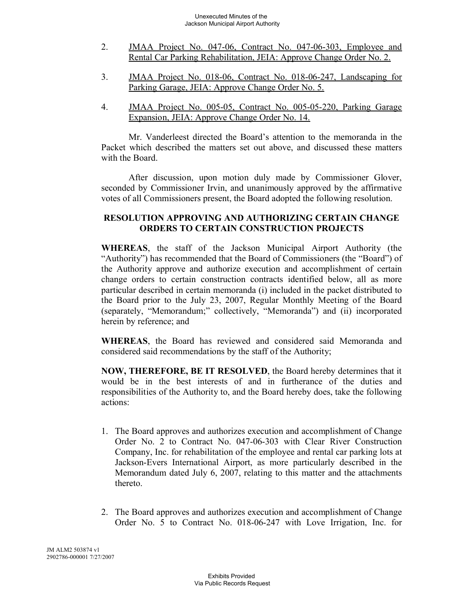- 2. JMAA Project No. 047-06, Contract No. 047-06-303, Employee and Rental Car Parking Rehabilitation, JEIA: Approve Change Order No. 2.
- 3. JMAA Project No. 018-06, Contract No. 018-06-247, Landscaping for Parking Garage, JEIA: Approve Change Order No. 5.
- 4. JMAA Project No. 005-05, Contract No. 005-05-220, Parking Garage Expansion, JEIA: Approve Change Order No. 14.

Mr. Vanderleest directed the Board's attention to the memoranda in the Packet which described the matters set out above, and discussed these matters with the Board.

After discussion, upon motion duly made by Commissioner Glover, seconded by Commissioner Irvin, and unanimously approved by the affirmative votes of all Commissioners present, the Board adopted the following resolution.

#### **RESOLUTION APPROVING AND AUTHORIZING CERTAIN CHANGE ORDERS TO CERTAIN CONSTRUCTION PROJECTS**

**WHEREAS**, the staff of the Jackson Municipal Airport Authority (the "Authority") has recommended that the Board of Commissioners (the "Board") of the Authority approve and authorize execution and accomplishment of certain change orders to certain construction contracts identified below, all as more particular described in certain memoranda (i) included in the packet distributed to the Board prior to the July 23, 2007, Regular Monthly Meeting of the Board (separately, "Memorandum;" collectively, "Memoranda") and (ii) incorporated herein by reference; and

**WHEREAS**, the Board has reviewed and considered said Memoranda and considered said recommendations by the staff of the Authority;

**NOW, THEREFORE, BE IT RESOLVED**, the Board hereby determines that it would be in the best interests of and in furtherance of the duties and responsibilities of the Authority to, and the Board hereby does, take the following actions:

- 1. The Board approves and authorizes execution and accomplishment of Change Order No. 2 to Contract No. 047-06-303 with Clear River Construction Company, Inc. for rehabilitation of the employee and rental car parking lots at Jackson-Evers International Airport, as more particularly described in the Memorandum dated July 6, 2007, relating to this matter and the attachments thereto.
- 2. The Board approves and authorizes execution and accomplishment of Change Order No. 5 to Contract No. 018-06-247 with Love Irrigation, Inc. for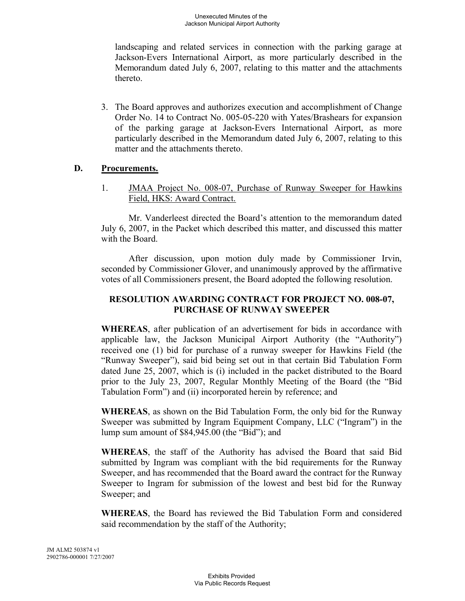landscaping and related services in connection with the parking garage at Jackson-Evers International Airport, as more particularly described in the Memorandum dated July 6, 2007, relating to this matter and the attachments thereto.

3. The Board approves and authorizes execution and accomplishment of Change Order No. 14 to Contract No. 005-05-220 with Yates/Brashears for expansion of the parking garage at Jackson-Evers International Airport, as more particularly described in the Memorandum dated July 6, 2007, relating to this matter and the attachments thereto.

### **D. Procurements.**

1. JMAA Project No. 008-07, Purchase of Runway Sweeper for Hawkins Field, HKS: Award Contract.

Mr. Vanderleest directed the Board's attention to the memorandum dated July 6, 2007, in the Packet which described this matter, and discussed this matter with the Board.

After discussion, upon motion duly made by Commissioner Irvin, seconded by Commissioner Glover, and unanimously approved by the affirmative votes of all Commissioners present, the Board adopted the following resolution.

## **RESOLUTION AWARDING CONTRACT FOR PROJECT NO. 008-07, PURCHASE OF RUNWAY SWEEPER**

**WHEREAS**, after publication of an advertisement for bids in accordance with applicable law, the Jackson Municipal Airport Authority (the "Authority") received one (1) bid for purchase of a runway sweeper for Hawkins Field (the "Runway Sweeper"), said bid being set out in that certain Bid Tabulation Form dated June 25, 2007, which is (i) included in the packet distributed to the Board prior to the July 23, 2007, Regular Monthly Meeting of the Board (the "Bid Tabulation Form") and (ii) incorporated herein by reference; and

**WHEREAS**, as shown on the Bid Tabulation Form, the only bid for the Runway Sweeper was submitted by Ingram Equipment Company, LLC ("Ingram") in the lump sum amount of \$84,945.00 (the "Bid"); and

**WHEREAS**, the staff of the Authority has advised the Board that said Bid submitted by Ingram was compliant with the bid requirements for the Runway Sweeper, and has recommended that the Board award the contract for the Runway Sweeper to Ingram for submission of the lowest and best bid for the Runway Sweeper; and

**WHEREAS**, the Board has reviewed the Bid Tabulation Form and considered said recommendation by the staff of the Authority;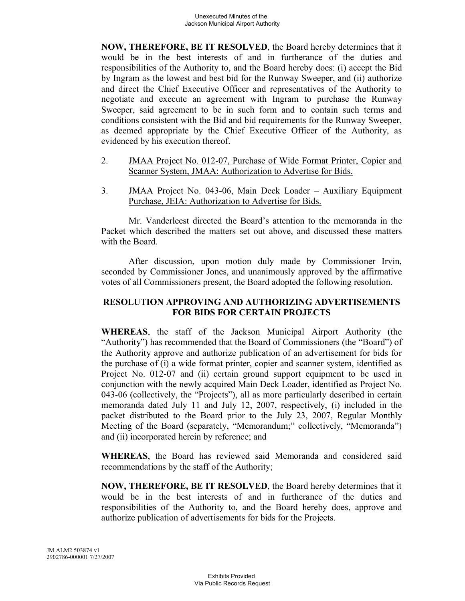**NOW, THEREFORE, BE IT RESOLVED**, the Board hereby determines that it would be in the best interests of and in furtherance of the duties and responsibilities of the Authority to, and the Board hereby does: (i) accept the Bid by Ingram as the lowest and best bid for the Runway Sweeper, and (ii) authorize and direct the Chief Executive Officer and representatives of the Authority to negotiate and execute an agreement with Ingram to purchase the Runway Sweeper, said agreement to be in such form and to contain such terms and conditions consistent with the Bid and bid requirements for the Runway Sweeper, as deemed appropriate by the Chief Executive Officer of the Authority, as evidenced by his execution thereof.

- 2. **JMAA Project No. 012-07, Purchase of Wide Format Printer, Copier and** Scanner System, JMAA: Authorization to Advertise for Bids.
- 3. JMAA Project No. 043-06, Main Deck Loader Auxiliary Equipment Purchase, JEIA: Authorization to Advertise for Bids.

Mr. Vanderleest directed the Board's attention to the memoranda in the Packet which described the matters set out above, and discussed these matters with the Board.

After discussion, upon motion duly made by Commissioner Irvin, seconded by Commissioner Jones, and unanimously approved by the affirmative votes of all Commissioners present, the Board adopted the following resolution.

# **RESOLUTION APPROVING AND AUTHORIZING ADVERTISEMENTS FOR BIDS FOR CERTAIN PROJECTS**

**WHEREAS**, the staff of the Jackson Municipal Airport Authority (the "Authority") has recommended that the Board of Commissioners (the "Board") of the Authority approve and authorize publication of an advertisement for bids for the purchase of (i) a wide format printer, copier and scanner system, identified as Project No. 012-07 and (ii) certain ground support equipment to be used in conjunction with the newly acquired Main Deck Loader, identified as Project No. 043-06 (collectively, the "Projects"), all as more particularly described in certain memoranda dated July 11 and July 12, 2007, respectively, (i) included in the packet distributed to the Board prior to the July 23, 2007, Regular Monthly Meeting of the Board (separately, "Memorandum;" collectively, "Memoranda") and (ii) incorporated herein by reference; and

**WHEREAS**, the Board has reviewed said Memoranda and considered said recommendations by the staff of the Authority;

**NOW, THEREFORE, BE IT RESOLVED**, the Board hereby determines that it would be in the best interests of and in furtherance of the duties and responsibilities of the Authority to, and the Board hereby does, approve and authorize publication of advertisements for bids for the Projects.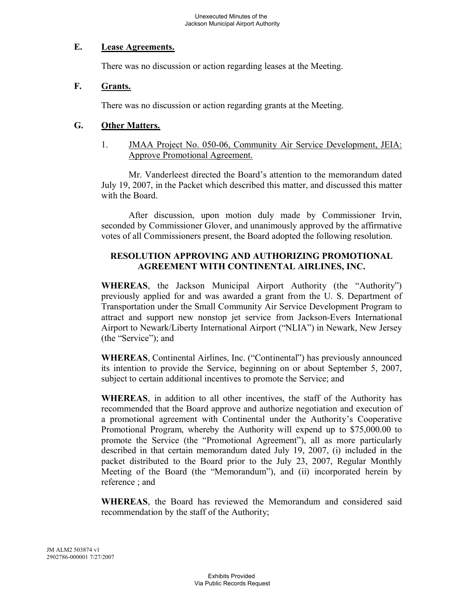### **E. Lease Agreements.**

There was no discussion or action regarding leases at the Meeting.

### **F. Grants.**

There was no discussion or action regarding grants at the Meeting.

## **G. Other Matters.**

1. JMAA Project No. 050-06, Community Air Service Development, JEIA: Approve Promotional Agreement.

Mr. Vanderleest directed the Board's attention to the memorandum dated July 19, 2007, in the Packet which described this matter, and discussed this matter with the Board.

After discussion, upon motion duly made by Commissioner Irvin, seconded by Commissioner Glover, and unanimously approved by the affirmative votes of all Commissioners present, the Board adopted the following resolution.

## **RESOLUTION APPROVING AND AUTHORIZING PROMOTIONAL AGREEMENT WITH CONTINENTAL AIRLINES, INC.**

**WHEREAS**, the Jackson Municipal Airport Authority (the "Authority") previously applied for and was awarded a grant from the U. S. Department of Transportation under the Small Community Air Service Development Program to attract and support new nonstop jet service from Jackson-Evers International Airport to Newark/Liberty International Airport ("NLIA") in Newark, New Jersey (the "Service"); and

**WHEREAS**, Continental Airlines, Inc. ("Continental") has previously announced its intention to provide the Service, beginning on or about September 5, 2007, subject to certain additional incentives to promote the Service; and

**WHEREAS**, in addition to all other incentives, the staff of the Authority has recommended that the Board approve and authorize negotiation and execution of a promotional agreement with Continental under the Authority's Cooperative Promotional Program, whereby the Authority will expend up to \$75,000.00 to promote the Service (the "Promotional Agreement"), all as more particularly described in that certain memorandum dated July 19, 2007, (i) included in the packet distributed to the Board prior to the July 23, 2007, Regular Monthly Meeting of the Board (the "Memorandum"), and (ii) incorporated herein by reference ; and

**WHEREAS**, the Board has reviewed the Memorandum and considered said recommendation by the staff of the Authority;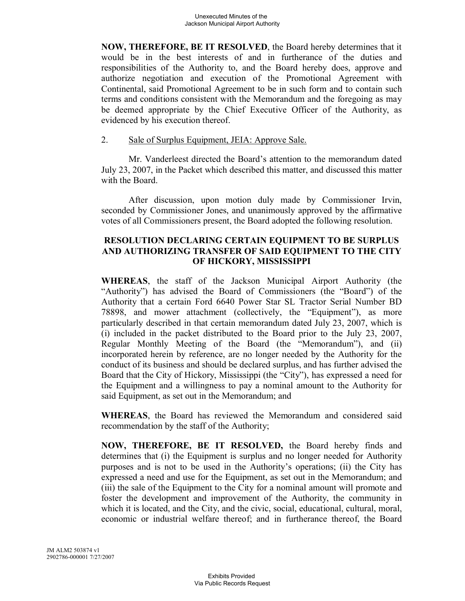**NOW, THEREFORE, BE IT RESOLVED**, the Board hereby determines that it would be in the best interests of and in furtherance of the duties and responsibilities of the Authority to, and the Board hereby does, approve and authorize negotiation and execution of the Promotional Agreement with Continental, said Promotional Agreement to be in such form and to contain such terms and conditions consistent with the Memorandum and the foregoing as may be deemed appropriate by the Chief Executive Officer of the Authority, as evidenced by his execution thereof.

#### 2. Sale of Surplus Equipment, JEIA: Approve Sale.

Mr. Vanderleest directed the Board's attention to the memorandum dated July 23, 2007, in the Packet which described this matter, and discussed this matter with the Board.

After discussion, upon motion duly made by Commissioner Irvin, seconded by Commissioner Jones, and unanimously approved by the affirmative votes of all Commissioners present, the Board adopted the following resolution.

## **RESOLUTION DECLARING CERTAIN EQUIPMENT TO BE SURPLUS AND AUTHORIZING TRANSFER OF SAID EQUIPMENT TO THE CITY OF HICKORY, MISSISSIPPI**

**WHEREAS**, the staff of the Jackson Municipal Airport Authority (the "Authority") has advised the Board of Commissioners (the "Board") of the Authority that a certain Ford 6640 Power Star SL Tractor Serial Number BD 78898, and mower attachment (collectively, the "Equipment"), as more particularly described in that certain memorandum dated July 23, 2007, which is (i) included in the packet distributed to the Board prior to the July 23, 2007, Regular Monthly Meeting of the Board (the "Memorandum"), and (ii) incorporated herein by reference, are no longer needed by the Authority for the conduct of its business and should be declared surplus, and has further advised the Board that the City of Hickory, Mississippi (the "City"), has expressed a need for the Equipment and a willingness to pay a nominal amount to the Authority for said Equipment, as set out in the Memorandum; and

**WHEREAS**, the Board has reviewed the Memorandum and considered said recommendation by the staff of the Authority;

**NOW, THEREFORE, BE IT RESOLVED,** the Board hereby finds and determines that (i) the Equipment is surplus and no longer needed for Authority purposes and is not to be used in the Authority's operations; (ii) the City has expressed a need and use for the Equipment, as set out in the Memorandum; and (iii) the sale of the Equipment to the City for a nominal amount will promote and foster the development and improvement of the Authority, the community in which it is located, and the City, and the civic, social, educational, cultural, moral, economic or industrial welfare thereof; and in furtherance thereof, the Board